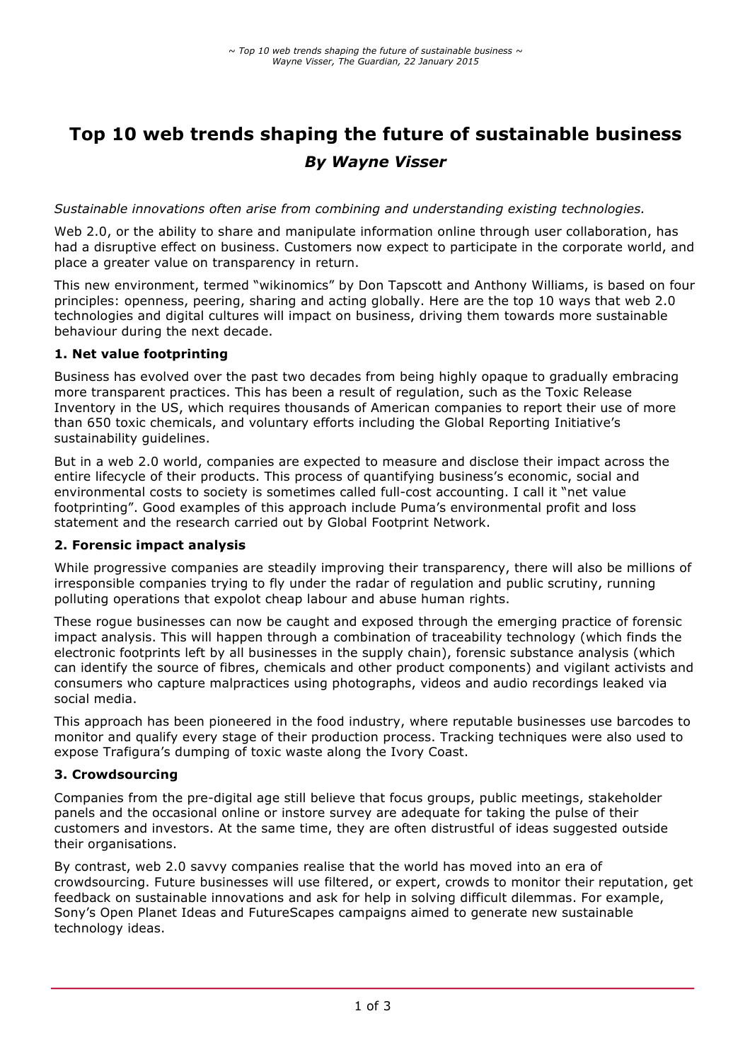# **Top 10 web trends shaping the future of sustainable business** *By Wayne Visser*

#### *Sustainable innovations often arise from combining and understanding existing technologies.*

Web 2.0, or the ability to share and manipulate information online through user collaboration, has had a disruptive effect on business. Customers now expect to participate in the corporate world, and place a greater value on transparency in return.

This new environment, termed "wikinomics" by Don Tapscott and Anthony Williams, is based on four principles: openness, peering, sharing and acting globally. Here are the top 10 ways that web 2.0 technologies and digital cultures will impact on business, driving them towards more sustainable behaviour during the next decade.

### **1. Net value footprinting**

Business has evolved over the past two decades from being highly opaque to gradually embracing more transparent practices. This has been a result of regulation, such as the Toxic Release Inventory in the US, which requires thousands of American companies to report their use of more than 650 toxic chemicals, and voluntary efforts including the Global Reporting Initiative's sustainability guidelines.

But in a web 2.0 world, companies are expected to measure and disclose their impact across the entire lifecycle of their products. This process of quantifying business's economic, social and environmental costs to society is sometimes called full-cost accounting. I call it "net value footprinting". Good examples of this approach include Puma's environmental profit and loss statement and the research carried out by Global Footprint Network.

#### **2. Forensic impact analysis**

While progressive companies are steadily improving their transparency, there will also be millions of irresponsible companies trying to fly under the radar of regulation and public scrutiny, running polluting operations that expolot cheap labour and abuse human rights.

These rogue businesses can now be caught and exposed through the emerging practice of forensic impact analysis. This will happen through a combination of traceability technology (which finds the electronic footprints left by all businesses in the supply chain), forensic substance analysis (which can identify the source of fibres, chemicals and other product components) and vigilant activists and consumers who capture malpractices using photographs, videos and audio recordings leaked via social media.

This approach has been pioneered in the food industry, where reputable businesses use barcodes to monitor and qualify every stage of their production process. Tracking techniques were also used to expose Trafigura's dumping of toxic waste along the Ivory Coast.

# **3. Crowdsourcing**

Companies from the pre-digital age still believe that focus groups, public meetings, stakeholder panels and the occasional online or instore survey are adequate for taking the pulse of their customers and investors. At the same time, they are often distrustful of ideas suggested outside their organisations.

By contrast, web 2.0 savvy companies realise that the world has moved into an era of crowdsourcing. Future businesses will use filtered, or expert, crowds to monitor their reputation, get feedback on sustainable innovations and ask for help in solving difficult dilemmas. For example, Sony's Open Planet Ideas and FutureScapes campaigns aimed to generate new sustainable technology ideas.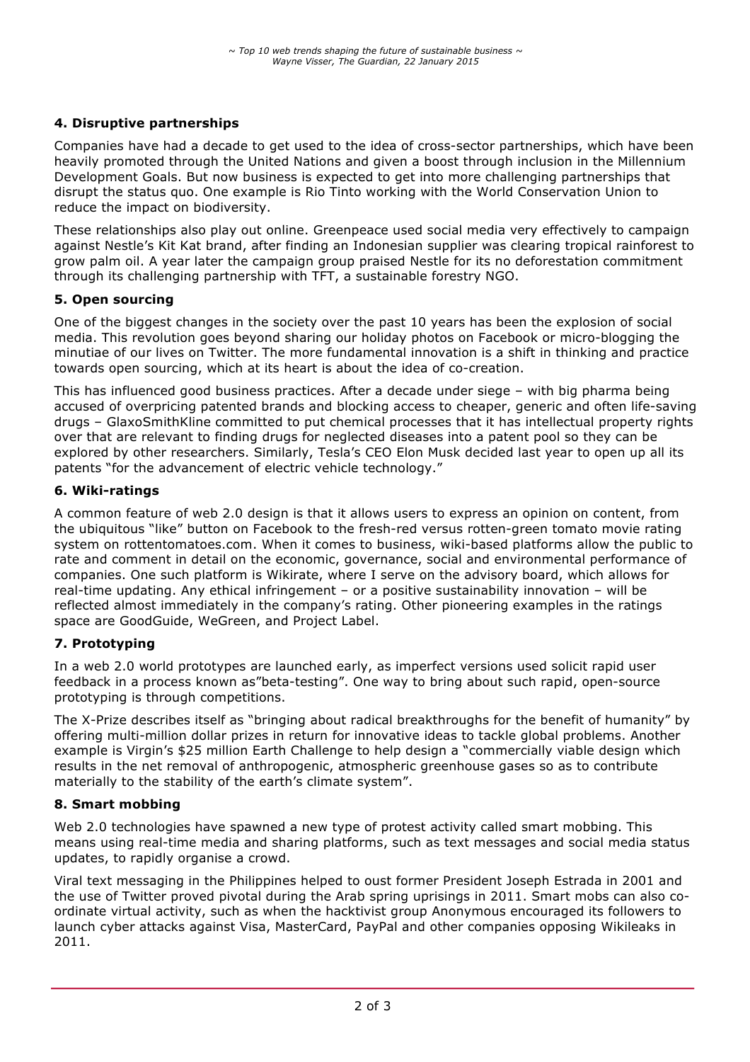# **4. Disruptive partnerships**

Companies have had a decade to get used to the idea of cross-sector partnerships, which have been heavily promoted through the United Nations and given a boost through inclusion in the Millennium Development Goals. But now business is expected to get into more challenging partnerships that disrupt the status quo. One example is Rio Tinto working with the World Conservation Union to reduce the impact on biodiversity.

These relationships also play out online. Greenpeace used social media very effectively to campaign against Nestle's Kit Kat brand, after finding an Indonesian supplier was clearing tropical rainforest to grow palm oil. A year later the campaign group praised Nestle for its no deforestation commitment through its challenging partnership with TFT, a sustainable forestry NGO.

#### **5. Open sourcing**

One of the biggest changes in the society over the past 10 years has been the explosion of social media. This revolution goes beyond sharing our holiday photos on Facebook or micro-blogging the minutiae of our lives on Twitter. The more fundamental innovation is a shift in thinking and practice towards open sourcing, which at its heart is about the idea of co-creation.

This has influenced good business practices. After a decade under siege – with big pharma being accused of overpricing patented brands and blocking access to cheaper, generic and often life-saving drugs – GlaxoSmithKline committed to put chemical processes that it has intellectual property rights over that are relevant to finding drugs for neglected diseases into a patent pool so they can be explored by other researchers. Similarly, Tesla's CEO Elon Musk decided last year to open up all its patents "for the advancement of electric vehicle technology."

#### **6. Wiki-ratings**

A common feature of web 2.0 design is that it allows users to express an opinion on content, from the ubiquitous "like" button on Facebook to the fresh-red versus rotten-green tomato movie rating system on rottentomatoes.com. When it comes to business, wiki-based platforms allow the public to rate and comment in detail on the economic, governance, social and environmental performance of companies. One such platform is Wikirate, where I serve on the advisory board, which allows for real-time updating. Any ethical infringement – or a positive sustainability innovation – will be reflected almost immediately in the company's rating. Other pioneering examples in the ratings space are GoodGuide, WeGreen, and Project Label.

#### **7. Prototyping**

In a web 2.0 world prototypes are launched early, as imperfect versions used solicit rapid user feedback in a process known as"beta-testing". One way to bring about such rapid, open-source prototyping is through competitions.

The X-Prize describes itself as "bringing about radical breakthroughs for the benefit of humanity" by offering multi-million dollar prizes in return for innovative ideas to tackle global problems. Another example is Virgin's \$25 million Earth Challenge to help design a "commercially viable design which results in the net removal of anthropogenic, atmospheric greenhouse gases so as to contribute materially to the stability of the earth's climate system".

#### **8. Smart mobbing**

Web 2.0 technologies have spawned a new type of protest activity called smart mobbing. This means using real-time media and sharing platforms, such as text messages and social media status updates, to rapidly organise a crowd.

Viral text messaging in the Philippines helped to oust former President Joseph Estrada in 2001 and the use of Twitter proved pivotal during the Arab spring uprisings in 2011. Smart mobs can also coordinate virtual activity, such as when the hacktivist group Anonymous encouraged its followers to launch cyber attacks against Visa, MasterCard, PayPal and other companies opposing Wikileaks in 2011.